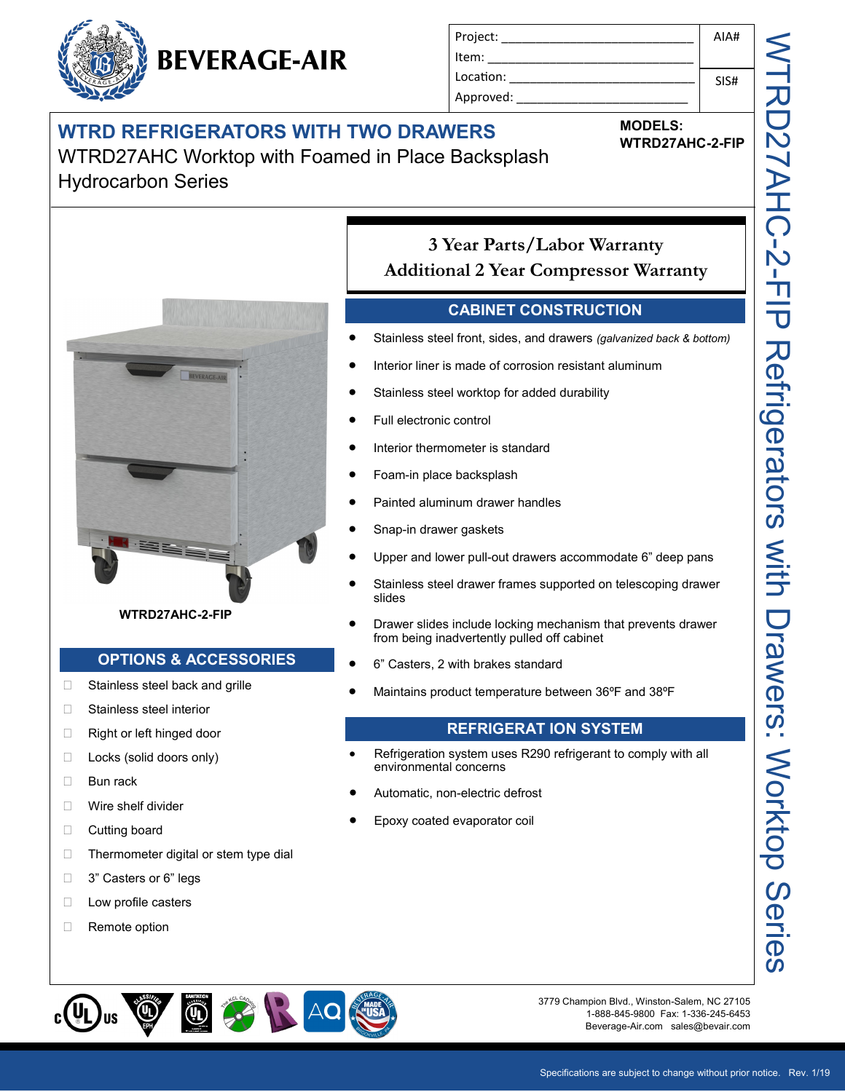# **WTRD REFRIGERATORS WITH TWO DRAWERS**

**BEVERAGE-AIR** 

WTRD27AHC Worktop with Foamed in Place Backsplash Hydrocarbon Series



### **CABINET CONSTRUCTION**

- Stainless steel front, sides, and drawers *(galvanized back & bottom)*
- Interior liner is made of corrosion resistant aluminum
- Stainless steel worktop for added durability
- Full electronic control
- Interior thermometer is standard
- Foam-in place backsplash
- Painted aluminum drawer handles
- Snap-in drawer gaskets
- Upper and lower pull-out drawers accommodate 6" deep pans
- Stainless steel drawer frames supported on telescoping drawer slides
- Drawer slides include locking mechanism that prevents drawer from being inadvertently pulled off cabinet
- 6" Casters, 2 with brakes standard
- Maintains product temperature between 36ºF and 38ºF

### **REFRIGERAT ION SYSTEM**

- Refrigeration system uses R290 refrigerant to comply with all environmental concerns
- Automatic, non-electric defrost
- Epoxy coated evaporator coil



3779 Champion Blvd., Winston-Salem, NC 27105 1-888-845-9800 Fax: 1-336-245-6453 Beverage-Air.com sales@bevair.com



- □ Stainless steel interior
- □ Right or left hinged door
- □ Locks (solid doors only)
- □ Bun rack
- **Nire shelf divider**
- □ Cutting board
- $\Box$  Thermometer digital or stem type dial
- □ 3" Casters or 6" legs
- **Low profile casters**
- □ Remote option





**MODELS:**

**WTRD27AHC-2-FIP**

AIA#

SIS#